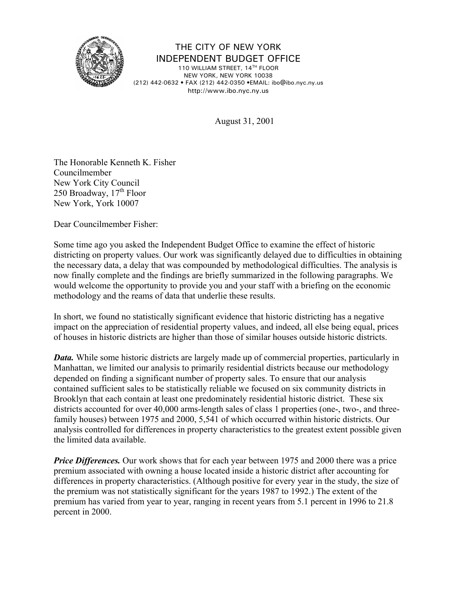

THE CITY OF NEW YORK INDEPENDENT BUDGET OFFICE

110 WILLIAM STREET, 14TH FLOOR NEW YORK, NEW YORK 10038 (212) 442-0632 • FAX (212) 442-0350 •EMAIL: ibo@ibo.nyc.ny.us http://www.ibo.nyc.ny.us

August 31, 2001

The Honorable Kenneth K. Fisher Councilmember New York City Council 250 Broadway,  $17<sup>th</sup>$  Floor New York, York 10007

Dear Councilmember Fisher:

Some time ago you asked the Independent Budget Office to examine the effect of historic districting on property values. Our work was significantly delayed due to difficulties in obtaining the necessary data, a delay that was compounded by methodological difficulties. The analysis is now finally complete and the findings are briefly summarized in the following paragraphs. We would welcome the opportunity to provide you and your staff with a briefing on the economic methodology and the reams of data that underlie these results.

In short, we found no statistically significant evidence that historic districting has a negative impact on the appreciation of residential property values, and indeed, all else being equal, prices of houses in historic districts are higher than those of similar houses outside historic districts.

*Data.* While some historic districts are largely made up of commercial properties, particularly in Manhattan, we limited our analysis to primarily residential districts because our methodology depended on finding a significant number of property sales. To ensure that our analysis contained sufficient sales to be statistically reliable we focused on six community districts in Brooklyn that each contain at least one predominately residential historic district. These six districts accounted for over 40,000 arms-length sales of class 1 properties (one-, two-, and threefamily houses) between 1975 and 2000, 5,541 of which occurred within historic districts. Our analysis controlled for differences in property characteristics to the greatest extent possible given the limited data available.

*Price Differences.* Our work shows that for each year between 1975 and 2000 there was a price premium associated with owning a house located inside a historic district after accounting for differences in property characteristics. (Although positive for every year in the study, the size of the premium was not statistically significant for the years 1987 to 1992.) The extent of the premium has varied from year to year, ranging in recent years from 5.1 percent in 1996 to 21.8 percent in 2000.